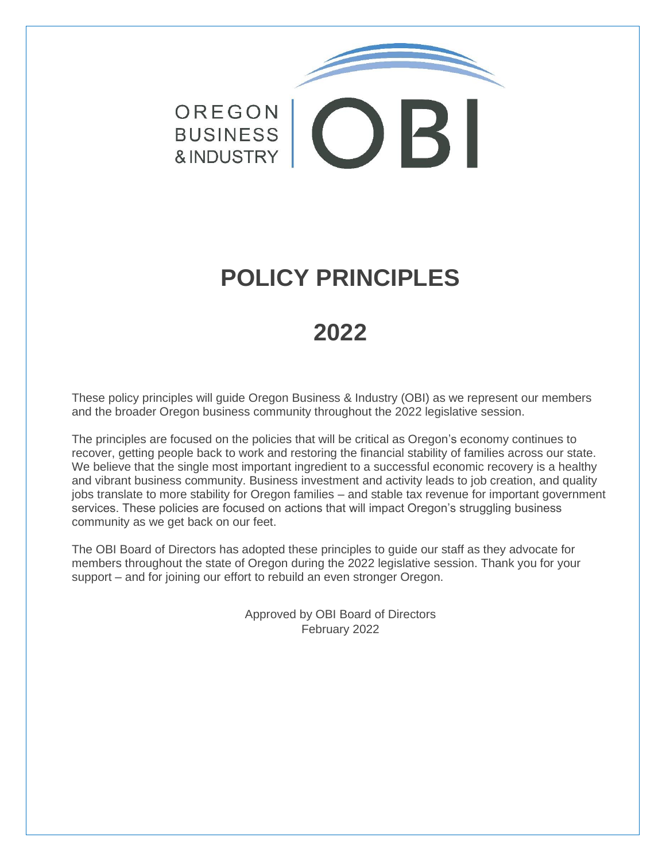# OREGON BUSINESS COB & INDUSTRY

# **POLICY PRINCIPLES**

# **2022**

These policy principles will guide Oregon Business & Industry (OBI) as we represent our members and the broader Oregon business community throughout the 2022 legislative session.

The principles are focused on the policies that will be critical as Oregon's economy continues to recover, getting people back to work and restoring the financial stability of families across our state. We believe that the single most important ingredient to a successful economic recovery is a healthy and vibrant business community. Business investment and activity leads to job creation, and quality jobs translate to more stability for Oregon families – and stable tax revenue for important government services. These policies are focused on actions that will impact Oregon's struggling business community as we get back on our feet.

The OBI Board of Directors has adopted these principles to guide our staff as they advocate for members throughout the state of Oregon during the 2022 legislative session. Thank you for your support – and for joining our effort to rebuild an even stronger Oregon.

> Approved by OBI Board of Directors February 2022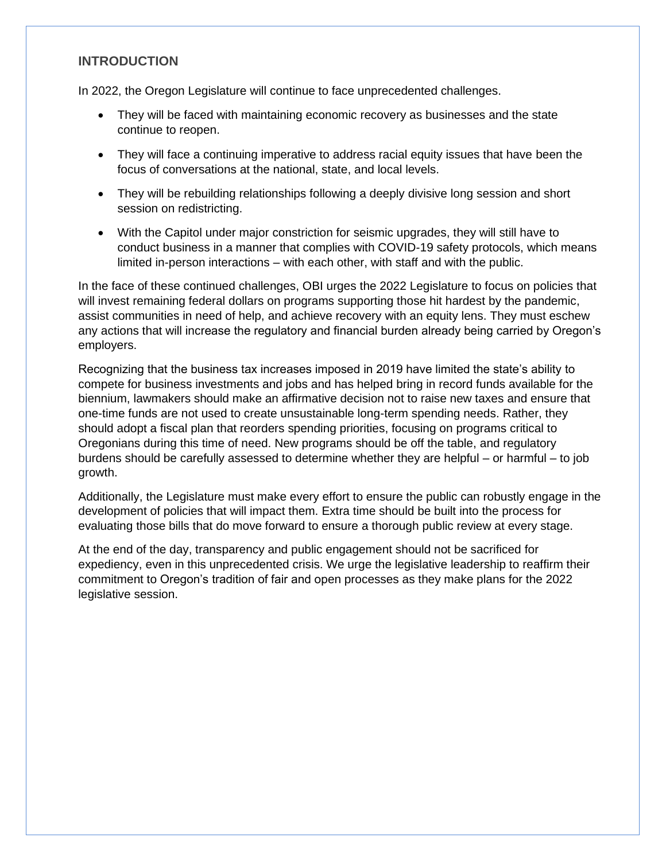#### **INTRODUCTION**

In 2022, the Oregon Legislature will continue to face unprecedented challenges.

- They will be faced with maintaining economic recovery as businesses and the state continue to reopen.
- They will face a continuing imperative to address racial equity issues that have been the focus of conversations at the national, state, and local levels.
- They will be rebuilding relationships following a deeply divisive long session and short session on redistricting.
- With the Capitol under major constriction for seismic upgrades, they will still have to conduct business in a manner that complies with COVID-19 safety protocols, which means limited in-person interactions – with each other, with staff and with the public.

In the face of these continued challenges, OBI urges the 2022 Legislature to focus on policies that will invest remaining federal dollars on programs supporting those hit hardest by the pandemic, assist communities in need of help, and achieve recovery with an equity lens. They must eschew any actions that will increase the regulatory and financial burden already being carried by Oregon's employers.

Recognizing that the business tax increases imposed in 2019 have limited the state's ability to compete for business investments and jobs and has helped bring in record funds available for the biennium, lawmakers should make an affirmative decision not to raise new taxes and ensure that one-time funds are not used to create unsustainable long-term spending needs. Rather, they should adopt a fiscal plan that reorders spending priorities, focusing on programs critical to Oregonians during this time of need. New programs should be off the table, and regulatory burdens should be carefully assessed to determine whether they are helpful – or harmful – to job growth.

Additionally, the Legislature must make every effort to ensure the public can robustly engage in the development of policies that will impact them. Extra time should be built into the process for evaluating those bills that do move forward to ensure a thorough public review at every stage.

At the end of the day, transparency and public engagement should not be sacrificed for expediency, even in this unprecedented crisis. We urge the legislative leadership to reaffirm their commitment to Oregon's tradition of fair and open processes as they make plans for the 2022 legislative session.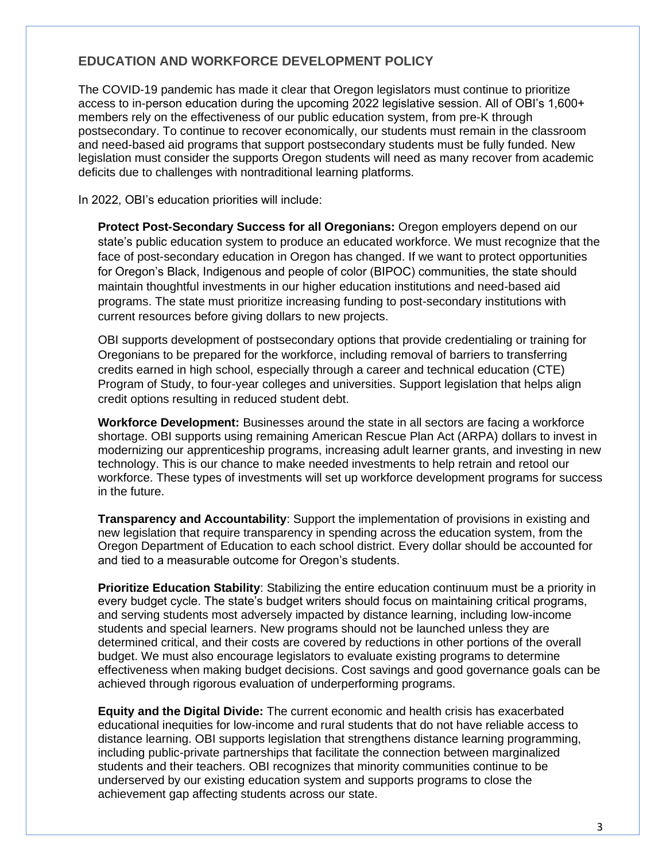# **EDUCATION AND WORKFORCE DEVELOPMENT POLICY**

The COVID-19 pandemic has made it clear that Oregon legislators must continue to prioritize access to in-person education during the upcoming 2022 legislative session. All of OBI's 1,600+ members rely on the effectiveness of our public education system, from pre-K through postsecondary. To continue to recover economically, our students must remain in the classroom and need-based aid programs that support postsecondary students must be fully funded. New legislation must consider the supports Oregon students will need as many recover from academic deficits due to challenges with nontraditional learning platforms.

In 2022, OBI's education priorities will include:

**Protect Post-Secondary Success for all Oregonians:** Oregon employers depend on our state's public education system to produce an educated workforce. We must recognize that the face of post-secondary education in Oregon has changed. If we want to protect opportunities for Oregon's Black, Indigenous and people of color (BIPOC) communities, the state should maintain thoughtful investments in our higher education institutions and need-based aid programs. The state must prioritize increasing funding to post-secondary institutions with current resources before giving dollars to new projects.

OBI supports development of postsecondary options that provide credentialing or training for Oregonians to be prepared for the workforce, including removal of barriers to transferring credits earned in high school, especially through a career and technical education (CTE) Program of Study, to four-year colleges and universities. Support legislation that helps align credit options resulting in reduced student debt.

**Workforce Development:** Businesses around the state in all sectors are facing a workforce shortage. OBI supports using remaining American Rescue Plan Act (ARPA) dollars to invest in modernizing our apprenticeship programs, increasing adult learner grants, and investing in new technology. This is our chance to make needed investments to help retrain and retool our workforce. These types of investments will set up workforce development programs for success in the future.

**Transparency and Accountability**: Support the implementation of provisions in existing and new legislation that require transparency in spending across the education system, from the Oregon Department of Education to each school district. Every dollar should be accounted for and tied to a measurable outcome for Oregon's students.

**Prioritize Education Stability**: Stabilizing the entire education continuum must be a priority in every budget cycle. The state's budget writers should focus on maintaining critical programs, and serving students most adversely impacted by distance learning, including low-income students and special learners. New programs should not be launched unless they are determined critical, and their costs are covered by reductions in other portions of the overall budget. We must also encourage legislators to evaluate existing programs to determine effectiveness when making budget decisions. Cost savings and good governance goals can be achieved through rigorous evaluation of underperforming programs.

**Equity and the Digital Divide:** The current economic and health crisis has exacerbated educational inequities for low-income and rural students that do not have reliable access to distance learning. OBI supports legislation that strengthens distance learning programming, including public-private partnerships that facilitate the connection between marginalized students and their teachers. OBI recognizes that minority communities continue to be underserved by our existing education system and supports programs to close the achievement gap affecting students across our state.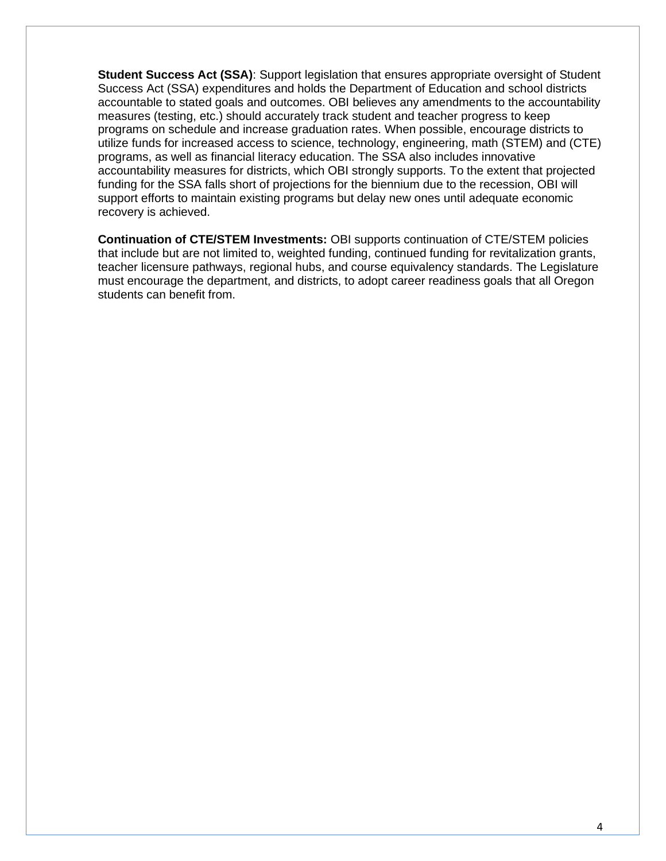**Student Success Act (SSA)**: Support legislation that ensures appropriate oversight of Student Success Act (SSA) expenditures and holds the Department of Education and school districts accountable to stated goals and outcomes. OBI believes any amendments to the accountability measures (testing, etc.) should accurately track student and teacher progress to keep programs on schedule and increase graduation rates. When possible, encourage districts to utilize funds for increased access to science, technology, engineering, math (STEM) and (CTE) programs, as well as financial literacy education. The SSA also includes innovative accountability measures for districts, which OBI strongly supports. To the extent that projected funding for the SSA falls short of projections for the biennium due to the recession, OBI will support efforts to maintain existing programs but delay new ones until adequate economic recovery is achieved.

**Continuation of CTE/STEM Investments:** OBI supports continuation of CTE/STEM policies that include but are not limited to, weighted funding, continued funding for revitalization grants, teacher licensure pathways, regional hubs, and course equivalency standards. The Legislature must encourage the department, and districts, to adopt career readiness goals that all Oregon students can benefit from.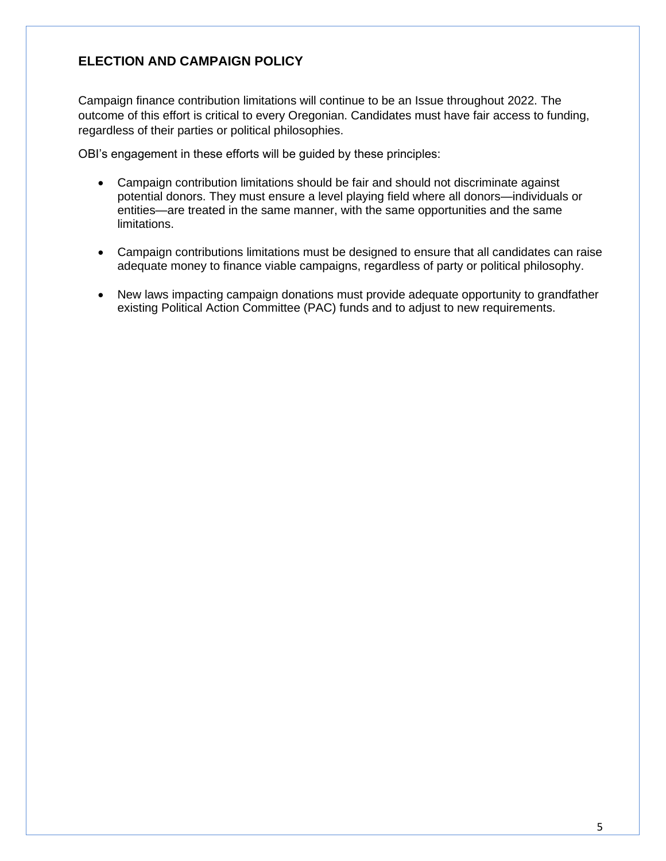# **ELECTION AND CAMPAIGN POLICY**

Campaign finance contribution limitations will continue to be an Issue throughout 2022. The outcome of this effort is critical to every Oregonian. Candidates must have fair access to funding, regardless of their parties or political philosophies.

OBI's engagement in these efforts will be guided by these principles:

- Campaign contribution limitations should be fair and should not discriminate against potential donors. They must ensure a level playing field where all donors—individuals or entities—are treated in the same manner, with the same opportunities and the same limitations.
- Campaign contributions limitations must be designed to ensure that all candidates can raise adequate money to finance viable campaigns, regardless of party or political philosophy.
- New laws impacting campaign donations must provide adequate opportunity to grandfather existing Political Action Committee (PAC) funds and to adjust to new requirements.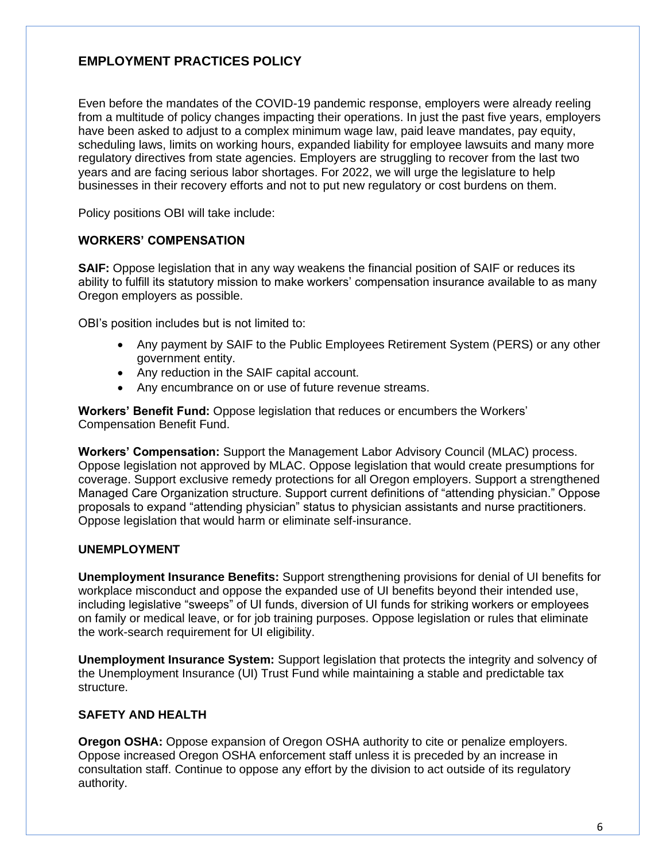# **EMPLOYMENT PRACTICES POLICY**

Even before the mandates of the COVID-19 pandemic response, employers were already reeling from a multitude of policy changes impacting their operations. In just the past five years, employers have been asked to adjust to a complex minimum wage law, paid leave mandates, pay equity, scheduling laws, limits on working hours, expanded liability for employee lawsuits and many more regulatory directives from state agencies. Employers are struggling to recover from the last two years and are facing serious labor shortages. For 2022, we will urge the legislature to help businesses in their recovery efforts and not to put new regulatory or cost burdens on them.

Policy positions OBI will take include:

#### **WORKERS' COMPENSATION**

**SAIF:** Oppose legislation that in any way weakens the financial position of SAIF or reduces its ability to fulfill its statutory mission to make workers' compensation insurance available to as many Oregon employers as possible.

OBI's position includes but is not limited to:

- Any payment by SAIF to the Public Employees Retirement System (PERS) or any other government entity.
- Any reduction in the SAIF capital account.
- Any encumbrance on or use of future revenue streams.

**Workers' Benefit Fund:** Oppose legislation that reduces or encumbers the Workers' Compensation Benefit Fund.

**Workers' Compensation:** Support the Management Labor Advisory Council (MLAC) process. Oppose legislation not approved by MLAC. Oppose legislation that would create presumptions for coverage. Support exclusive remedy protections for all Oregon employers. Support a strengthened Managed Care Organization structure. Support current definitions of "attending physician." Oppose proposals to expand "attending physician" status to physician assistants and nurse practitioners. Oppose legislation that would harm or eliminate self-insurance.

#### **UNEMPLOYMENT**

**Unemployment Insurance Benefits:** Support strengthening provisions for denial of UI benefits for workplace misconduct and oppose the expanded use of UI benefits beyond their intended use, including legislative "sweeps" of UI funds, diversion of UI funds for striking workers or employees on family or medical leave, or for job training purposes. Oppose legislation or rules that eliminate the work-search requirement for UI eligibility.

**Unemployment Insurance System:** Support legislation that protects the integrity and solvency of the Unemployment Insurance (UI) Trust Fund while maintaining a stable and predictable tax structure.

# **SAFETY AND HEALTH**

**Oregon OSHA:** Oppose expansion of Oregon OSHA authority to cite or penalize employers. Oppose increased Oregon OSHA enforcement staff unless it is preceded by an increase in consultation staff. Continue to oppose any effort by the division to act outside of its regulatory authority.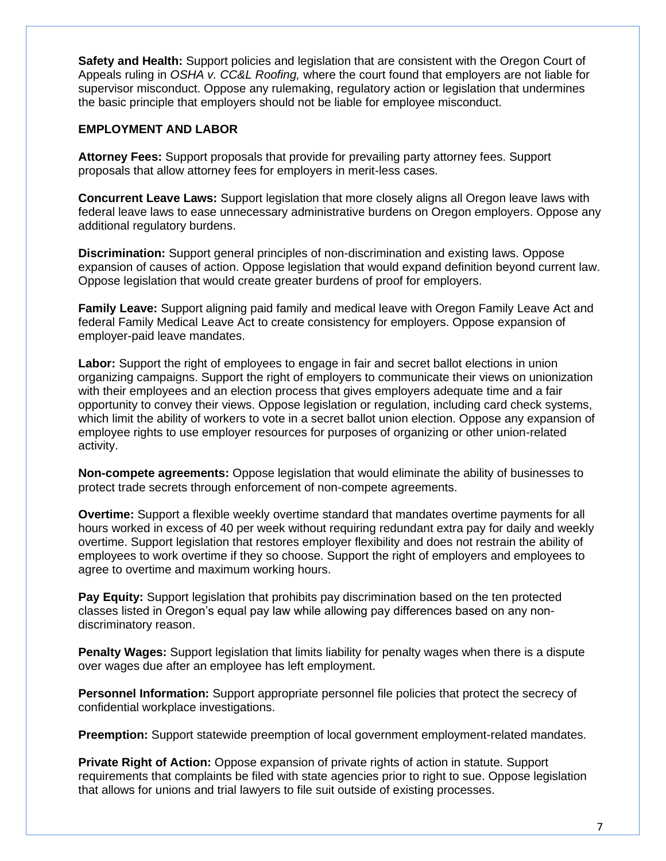**Safety and Health:** Support policies and legislation that are consistent with the Oregon Court of Appeals ruling in *OSHA v. CC&L Roofing,* where the court found that employers are not liable for supervisor misconduct. Oppose any rulemaking, regulatory action or legislation that undermines the basic principle that employers should not be liable for employee misconduct.

#### **EMPLOYMENT AND LABOR**

**Attorney Fees:** Support proposals that provide for prevailing party attorney fees. Support proposals that allow attorney fees for employers in merit-less cases.

**Concurrent Leave Laws:** Support legislation that more closely aligns all Oregon leave laws with federal leave laws to ease unnecessary administrative burdens on Oregon employers. Oppose any additional regulatory burdens.

**Discrimination:** Support general principles of non-discrimination and existing laws. Oppose expansion of causes of action. Oppose legislation that would expand definition beyond current law. Oppose legislation that would create greater burdens of proof for employers.

**Family Leave:** Support aligning paid family and medical leave with Oregon Family Leave Act and federal Family Medical Leave Act to create consistency for employers. Oppose expansion of employer-paid leave mandates.

**Labor:** Support the right of employees to engage in fair and secret ballot elections in union organizing campaigns. Support the right of employers to communicate their views on unionization with their employees and an election process that gives employers adequate time and a fair opportunity to convey their views. Oppose legislation or regulation, including card check systems, which limit the ability of workers to vote in a secret ballot union election. Oppose any expansion of employee rights to use employer resources for purposes of organizing or other union-related activity.

**Non-compete agreements:** Oppose legislation that would eliminate the ability of businesses to protect trade secrets through enforcement of non-compete agreements.

**Overtime:** Support a flexible weekly overtime standard that mandates overtime payments for all hours worked in excess of 40 per week without requiring redundant extra pay for daily and weekly overtime. Support legislation that restores employer flexibility and does not restrain the ability of employees to work overtime if they so choose. Support the right of employers and employees to agree to overtime and maximum working hours.

**Pay Equity:** Support legislation that prohibits pay discrimination based on the ten protected classes listed in Oregon's equal pay law while allowing pay differences based on any nondiscriminatory reason.

**Penalty Wages:** Support legislation that limits liability for penalty wages when there is a dispute over wages due after an employee has left employment.

**Personnel Information:** Support appropriate personnel file policies that protect the secrecy of confidential workplace investigations.

**Preemption:** Support statewide preemption of local government employment-related mandates.

**Private Right of Action:** Oppose expansion of private rights of action in statute. Support requirements that complaints be filed with state agencies prior to right to sue. Oppose legislation that allows for unions and trial lawyers to file suit outside of existing processes.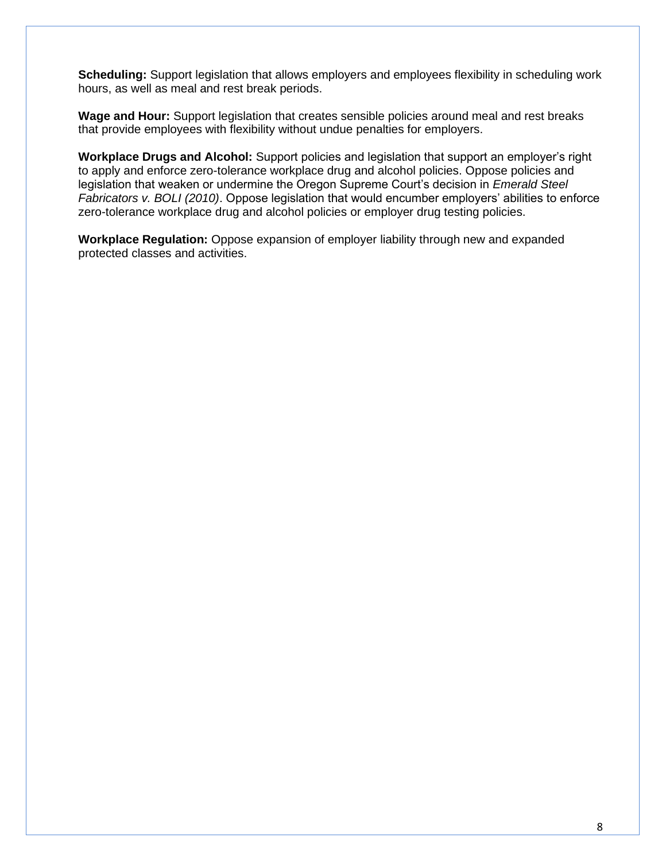**Scheduling:** Support legislation that allows employers and employees flexibility in scheduling work hours, as well as meal and rest break periods.

**Wage and Hour:** Support legislation that creates sensible policies around meal and rest breaks that provide employees with flexibility without undue penalties for employers.

**Workplace Drugs and Alcohol:** Support policies and legislation that support an employer's right to apply and enforce zero-tolerance workplace drug and alcohol policies. Oppose policies and legislation that weaken or undermine the Oregon Supreme Court's decision in *Emerald Steel Fabricators v. BOLI (2010)*. Oppose legislation that would encumber employers' abilities to enforce zero-tolerance workplace drug and alcohol policies or employer drug testing policies.

**Workplace Regulation:** Oppose expansion of employer liability through new and expanded protected classes and activities.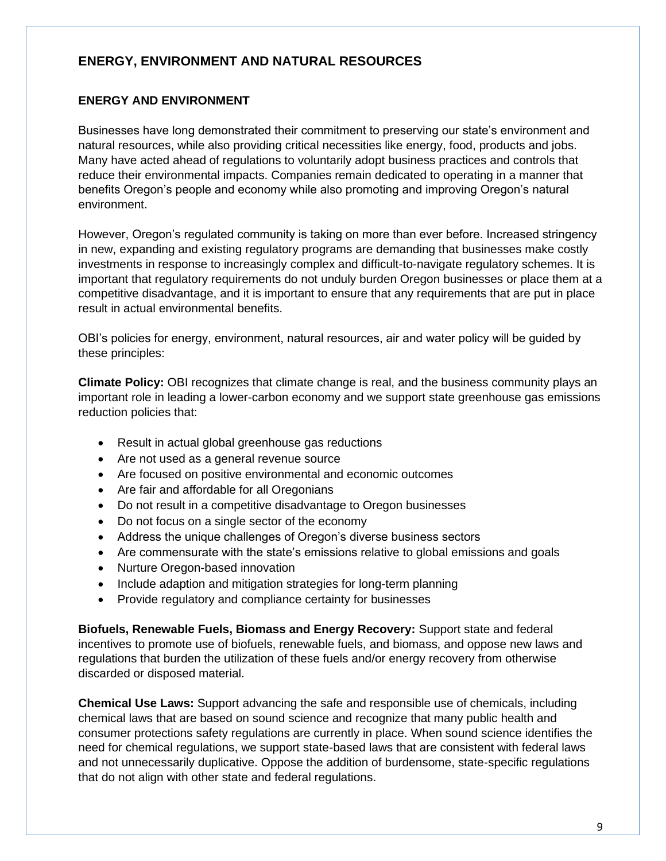# **ENERGY, ENVIRONMENT AND NATURAL RESOURCES**

#### **ENERGY AND ENVIRONMENT**

Businesses have long demonstrated their commitment to preserving our state's environment and natural resources, while also providing critical necessities like energy, food, products and jobs. Many have acted ahead of regulations to voluntarily adopt business practices and controls that reduce their environmental impacts. Companies remain dedicated to operating in a manner that benefits Oregon's people and economy while also promoting and improving Oregon's natural environment.

However, Oregon's regulated community is taking on more than ever before. Increased stringency in new, expanding and existing regulatory programs are demanding that businesses make costly investments in response to increasingly complex and difficult-to-navigate regulatory schemes. It is important that regulatory requirements do not unduly burden Oregon businesses or place them at a competitive disadvantage, and it is important to ensure that any requirements that are put in place result in actual environmental benefits.

OBI's policies for energy, environment, natural resources, air and water policy will be guided by these principles:

**Climate Policy:** OBI recognizes that climate change is real, and the business community plays an important role in leading a lower-carbon economy and we support state greenhouse gas emissions reduction policies that:

- Result in actual global greenhouse gas reductions
- Are not used as a general revenue source
- Are focused on positive environmental and economic outcomes
- Are fair and affordable for all Oregonians
- Do not result in a competitive disadvantage to Oregon businesses
- Do not focus on a single sector of the economy
- Address the unique challenges of Oregon's diverse business sectors
- Are commensurate with the state's emissions relative to global emissions and goals
- Nurture Oregon-based innovation
- Include adaption and mitigation strategies for long-term planning
- Provide regulatory and compliance certainty for businesses

**Biofuels, Renewable Fuels, Biomass and Energy Recovery:** Support state and federal incentives to promote use of biofuels, renewable fuels, and biomass, and oppose new laws and regulations that burden the utilization of these fuels and/or energy recovery from otherwise discarded or disposed material.

**Chemical Use Laws:** Support advancing the safe and responsible use of chemicals, including chemical laws that are based on sound science and recognize that many public health and consumer protections safety regulations are currently in place. When sound science identifies the need for chemical regulations, we support state-based laws that are consistent with federal laws and not unnecessarily duplicative. Oppose the addition of burdensome, state-specific regulations that do not align with other state and federal regulations.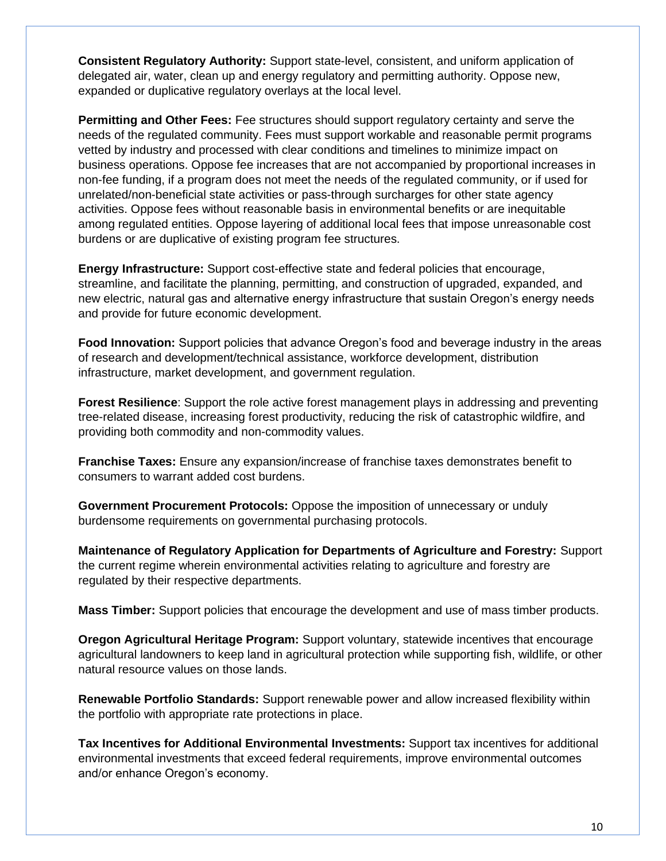**Consistent Regulatory Authority:** Support state-level, consistent, and uniform application of delegated air, water, clean up and energy regulatory and permitting authority. Oppose new, expanded or duplicative regulatory overlays at the local level.

**Permitting and Other Fees:** Fee structures should support regulatory certainty and serve the needs of the regulated community. Fees must support workable and reasonable permit programs vetted by industry and processed with clear conditions and timelines to minimize impact on business operations. Oppose fee increases that are not accompanied by proportional increases in non-fee funding, if a program does not meet the needs of the regulated community, or if used for unrelated/non-beneficial state activities or pass-through surcharges for other state agency activities. Oppose fees without reasonable basis in environmental benefits or are inequitable among regulated entities. Oppose layering of additional local fees that impose unreasonable cost burdens or are duplicative of existing program fee structures.

**Energy Infrastructure:** Support cost-effective state and federal policies that encourage, streamline, and facilitate the planning, permitting, and construction of upgraded, expanded, and new electric, natural gas and alternative energy infrastructure that sustain Oregon's energy needs and provide for future economic development.

**Food Innovation:** Support policies that advance Oregon's food and beverage industry in the areas of research and development/technical assistance, workforce development, distribution infrastructure, market development, and government regulation.

**Forest Resilience**: Support the role active forest management plays in addressing and preventing tree-related disease, increasing forest productivity, reducing the risk of catastrophic wildfire, and providing both commodity and non-commodity values.

**Franchise Taxes:** Ensure any expansion/increase of franchise taxes demonstrates benefit to consumers to warrant added cost burdens.

**Government Procurement Protocols:** Oppose the imposition of unnecessary or unduly burdensome requirements on governmental purchasing protocols.

**Maintenance of Regulatory Application for Departments of Agriculture and Forestry:** Support the current regime wherein environmental activities relating to agriculture and forestry are regulated by their respective departments.

**Mass Timber:** Support policies that encourage the development and use of mass timber products.

**Oregon Agricultural Heritage Program:** Support voluntary, statewide incentives that encourage agricultural landowners to keep land in agricultural protection while supporting fish, wildlife, or other natural resource values on those lands.

**Renewable Portfolio Standards:** Support renewable power and allow increased flexibility within the portfolio with appropriate rate protections in place.

**Tax Incentives for Additional Environmental Investments:** Support tax incentives for additional environmental investments that exceed federal requirements, improve environmental outcomes and/or enhance Oregon's economy.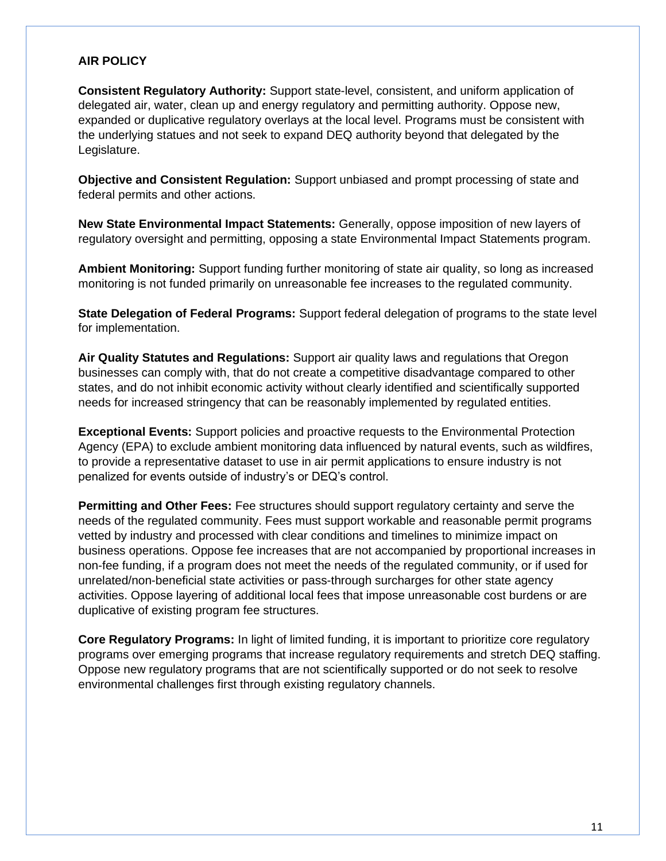#### **AIR POLICY**

**Consistent Regulatory Authority:** Support state-level, consistent, and uniform application of delegated air, water, clean up and energy regulatory and permitting authority. Oppose new, expanded or duplicative regulatory overlays at the local level. Programs must be consistent with the underlying statues and not seek to expand DEQ authority beyond that delegated by the Legislature.

**Objective and Consistent Regulation:** Support unbiased and prompt processing of state and federal permits and other actions.

**New State Environmental Impact Statements:** Generally, oppose imposition of new layers of regulatory oversight and permitting, opposing a state Environmental Impact Statements program.

**Ambient Monitoring:** Support funding further monitoring of state air quality, so long as increased monitoring is not funded primarily on unreasonable fee increases to the regulated community.

**State Delegation of Federal Programs:** Support federal delegation of programs to the state level for implementation.

**Air Quality Statutes and Regulations:** Support air quality laws and regulations that Oregon businesses can comply with, that do not create a competitive disadvantage compared to other states, and do not inhibit economic activity without clearly identified and scientifically supported needs for increased stringency that can be reasonably implemented by regulated entities.

**Exceptional Events:** Support policies and proactive requests to the Environmental Protection Agency (EPA) to exclude ambient monitoring data influenced by natural events, such as wildfires, to provide a representative dataset to use in air permit applications to ensure industry is not penalized for events outside of industry's or DEQ's control.

**Permitting and Other Fees:** Fee structures should support regulatory certainty and serve the needs of the regulated community. Fees must support workable and reasonable permit programs vetted by industry and processed with clear conditions and timelines to minimize impact on business operations. Oppose fee increases that are not accompanied by proportional increases in non-fee funding, if a program does not meet the needs of the regulated community, or if used for unrelated/non-beneficial state activities or pass-through surcharges for other state agency activities. Oppose layering of additional local fees that impose unreasonable cost burdens or are duplicative of existing program fee structures.

**Core Regulatory Programs:** In light of limited funding, it is important to prioritize core regulatory programs over emerging programs that increase regulatory requirements and stretch DEQ staffing. Oppose new regulatory programs that are not scientifically supported or do not seek to resolve environmental challenges first through existing regulatory channels.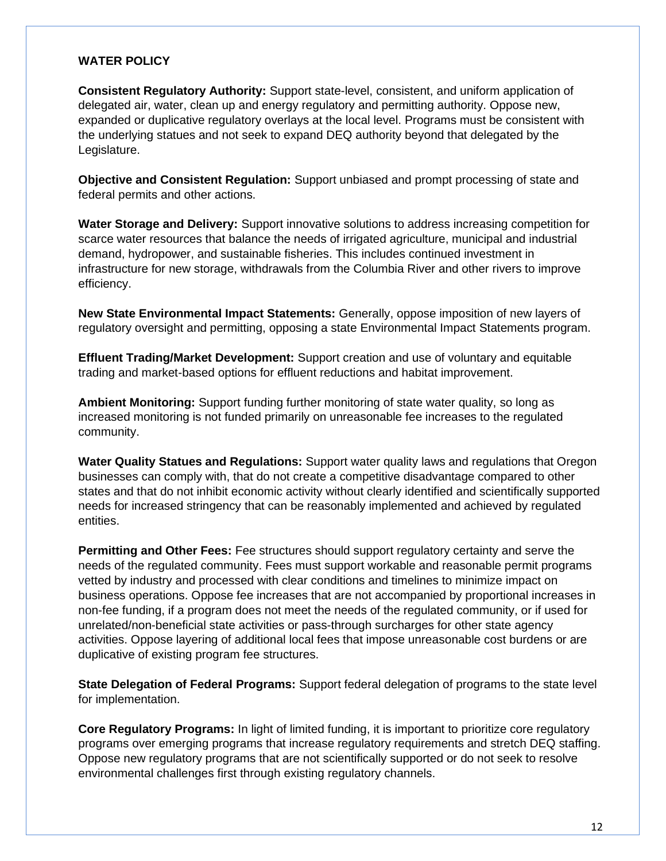#### **WATER POLICY**

**Consistent Regulatory Authority:** Support state-level, consistent, and uniform application of delegated air, water, clean up and energy regulatory and permitting authority. Oppose new, expanded or duplicative regulatory overlays at the local level. Programs must be consistent with the underlying statues and not seek to expand DEQ authority beyond that delegated by the Legislature.

**Objective and Consistent Regulation:** Support unbiased and prompt processing of state and federal permits and other actions.

**Water Storage and Delivery:** Support innovative solutions to address increasing competition for scarce water resources that balance the needs of irrigated agriculture, municipal and industrial demand, hydropower, and sustainable fisheries. This includes continued investment in infrastructure for new storage, withdrawals from the Columbia River and other rivers to improve efficiency.

**New State Environmental Impact Statements:** Generally, oppose imposition of new layers of regulatory oversight and permitting, opposing a state Environmental Impact Statements program.

**Effluent Trading/Market Development:** Support creation and use of voluntary and equitable trading and market-based options for effluent reductions and habitat improvement.

**Ambient Monitoring:** Support funding further monitoring of state water quality, so long as increased monitoring is not funded primarily on unreasonable fee increases to the regulated community.

**Water Quality Statues and Regulations:** Support water quality laws and regulations that Oregon businesses can comply with, that do not create a competitive disadvantage compared to other states and that do not inhibit economic activity without clearly identified and scientifically supported needs for increased stringency that can be reasonably implemented and achieved by regulated entities.

**Permitting and Other Fees:** Fee structures should support regulatory certainty and serve the needs of the regulated community. Fees must support workable and reasonable permit programs vetted by industry and processed with clear conditions and timelines to minimize impact on business operations. Oppose fee increases that are not accompanied by proportional increases in non-fee funding, if a program does not meet the needs of the regulated community, or if used for unrelated/non-beneficial state activities or pass-through surcharges for other state agency activities. Oppose layering of additional local fees that impose unreasonable cost burdens or are duplicative of existing program fee structures.

**State Delegation of Federal Programs:** Support federal delegation of programs to the state level for implementation.

**Core Regulatory Programs:** In light of limited funding, it is important to prioritize core regulatory programs over emerging programs that increase regulatory requirements and stretch DEQ staffing. Oppose new regulatory programs that are not scientifically supported or do not seek to resolve environmental challenges first through existing regulatory channels.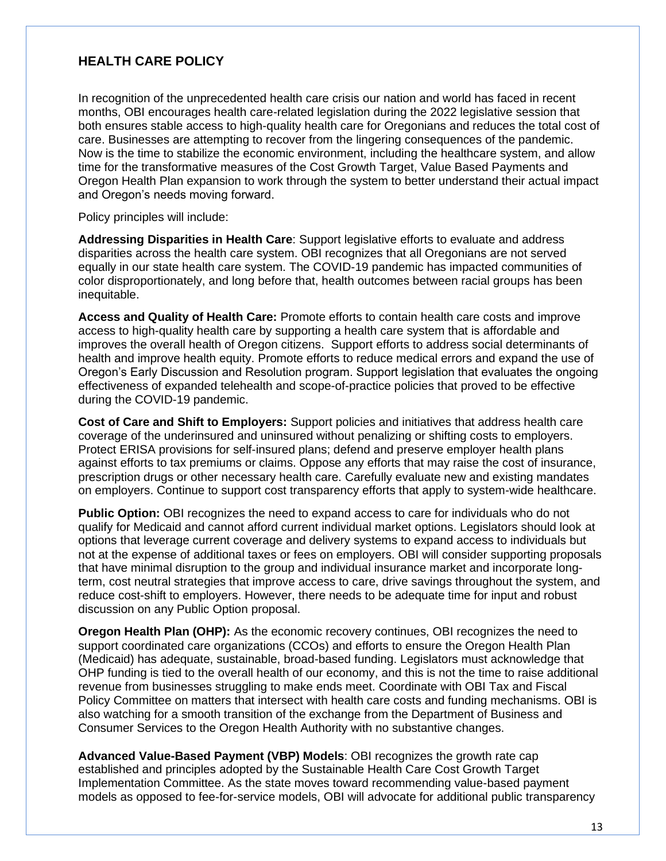# **HEALTH CARE POLICY**

In recognition of the unprecedented health care crisis our nation and world has faced in recent months, OBI encourages health care-related legislation during the 2022 legislative session that both ensures stable access to high-quality health care for Oregonians and reduces the total cost of care. Businesses are attempting to recover from the lingering consequences of the pandemic. Now is the time to stabilize the economic environment, including the healthcare system, and allow time for the transformative measures of the Cost Growth Target, Value Based Payments and Oregon Health Plan expansion to work through the system to better understand their actual impact and Oregon's needs moving forward.

Policy principles will include:

**Addressing Disparities in Health Care**: Support legislative efforts to evaluate and address disparities across the health care system. OBI recognizes that all Oregonians are not served equally in our state health care system. The COVID-19 pandemic has impacted communities of color disproportionately, and long before that, health outcomes between racial groups has been inequitable.

**Access and Quality of Health Care:** Promote efforts to contain health care costs and improve access to high-quality health care by supporting a health care system that is affordable and improves the overall health of Oregon citizens. Support efforts to address social determinants of health and improve health equity. Promote efforts to reduce medical errors and expand the use of Oregon's Early Discussion and Resolution program. Support legislation that evaluates the ongoing effectiveness of expanded telehealth and scope-of-practice policies that proved to be effective during the COVID-19 pandemic.

**Cost of Care and Shift to Employers:** Support policies and initiatives that address health care coverage of the underinsured and uninsured without penalizing or shifting costs to employers. Protect ERISA provisions for self-insured plans; defend and preserve employer health plans against efforts to tax premiums or claims. Oppose any efforts that may raise the cost of insurance, prescription drugs or other necessary health care. Carefully evaluate new and existing mandates on employers. Continue to support cost transparency efforts that apply to system-wide healthcare.

**Public Option:** OBI recognizes the need to expand access to care for individuals who do not qualify for Medicaid and cannot afford current individual market options. Legislators should look at options that leverage current coverage and delivery systems to expand access to individuals but not at the expense of additional taxes or fees on employers. OBI will consider supporting proposals that have minimal disruption to the group and individual insurance market and incorporate longterm, cost neutral strategies that improve access to care, drive savings throughout the system, and reduce cost-shift to employers. However, there needs to be adequate time for input and robust discussion on any Public Option proposal.

**Oregon Health Plan (OHP):** As the economic recovery continues, OBI recognizes the need to support coordinated care organizations (CCOs) and efforts to ensure the Oregon Health Plan (Medicaid) has adequate, sustainable, broad-based funding. Legislators must acknowledge that OHP funding is tied to the overall health of our economy, and this is not the time to raise additional revenue from businesses struggling to make ends meet. Coordinate with OBI Tax and Fiscal Policy Committee on matters that intersect with health care costs and funding mechanisms. OBI is also watching for a smooth transition of the exchange from the Department of Business and Consumer Services to the Oregon Health Authority with no substantive changes.

**Advanced Value-Based Payment (VBP) Models**: OBI recognizes the growth rate cap established and principles adopted by the Sustainable Health Care Cost Growth Target Implementation Committee. As the state moves toward recommending value-based payment models as opposed to fee-for-service models, OBI will advocate for additional public transparency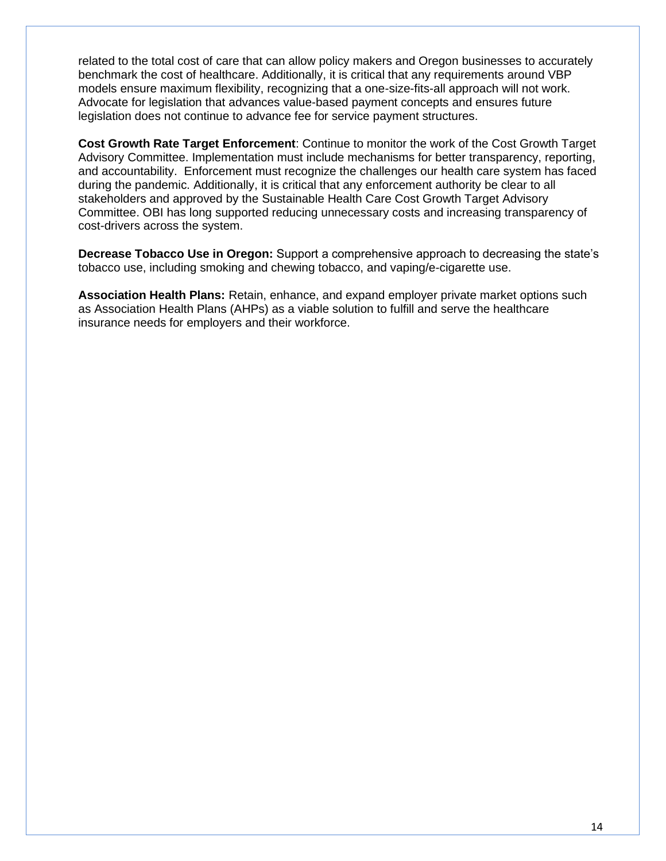related to the total cost of care that can allow policy makers and Oregon businesses to accurately benchmark the cost of healthcare. Additionally, it is critical that any requirements around VBP models ensure maximum flexibility, recognizing that a one-size-fits-all approach will not work. Advocate for legislation that advances value-based payment concepts and ensures future legislation does not continue to advance fee for service payment structures.

**Cost Growth Rate Target Enforcement**: Continue to monitor the work of the Cost Growth Target Advisory Committee. Implementation must include mechanisms for better transparency, reporting, and accountability. Enforcement must recognize the challenges our health care system has faced during the pandemic. Additionally, it is critical that any enforcement authority be clear to all stakeholders and approved by the Sustainable Health Care Cost Growth Target Advisory Committee. OBI has long supported reducing unnecessary costs and increasing transparency of cost-drivers across the system.

**Decrease Tobacco Use in Oregon:** Support a comprehensive approach to decreasing the state's tobacco use, including smoking and chewing tobacco, and vaping/e-cigarette use.

**Association Health Plans:** Retain, enhance, and expand employer private market options such as Association Health Plans (AHPs) as a viable solution to fulfill and serve the healthcare insurance needs for employers and their workforce.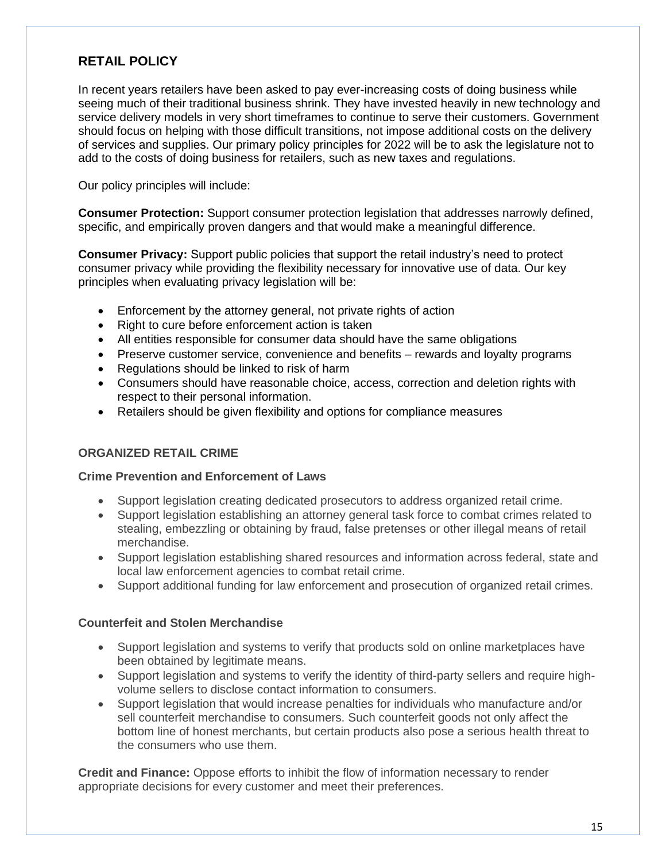# **RETAIL POLICY**

In recent years retailers have been asked to pay ever-increasing costs of doing business while seeing much of their traditional business shrink. They have invested heavily in new technology and service delivery models in very short timeframes to continue to serve their customers. Government should focus on helping with those difficult transitions, not impose additional costs on the delivery of services and supplies. Our primary policy principles for 2022 will be to ask the legislature not to add to the costs of doing business for retailers, such as new taxes and regulations.

Our policy principles will include:

**Consumer Protection:** Support consumer protection legislation that addresses narrowly defined, specific, and empirically proven dangers and that would make a meaningful difference.

**Consumer Privacy:** Support public policies that support the retail industry's need to protect consumer privacy while providing the flexibility necessary for innovative use of data. Our key principles when evaluating privacy legislation will be:

- Enforcement by the attorney general, not private rights of action
- Right to cure before enforcement action is taken
- All entities responsible for consumer data should have the same obligations
- Preserve customer service, convenience and benefits rewards and loyalty programs
- Regulations should be linked to risk of harm
- Consumers should have reasonable choice, access, correction and deletion rights with respect to their personal information.
- Retailers should be given flexibility and options for compliance measures

#### **ORGANIZED RETAIL CRIME**

#### **Crime Prevention and Enforcement of Laws**

- Support legislation creating dedicated prosecutors to address organized retail crime.
- Support legislation establishing an attorney general task force to combat crimes related to stealing, embezzling or obtaining by fraud, false pretenses or other illegal means of retail merchandise.
- Support legislation establishing shared resources and information across federal, state and local law enforcement agencies to combat retail crime.
- Support additional funding for law enforcement and prosecution of organized retail crimes.

#### **Counterfeit and Stolen Merchandise**

- Support legislation and systems to verify that products sold on online marketplaces have been obtained by legitimate means.
- Support legislation and systems to verify the identity of third-party sellers and require highvolume sellers to disclose contact information to consumers.
- Support legislation that would increase penalties for individuals who manufacture and/or sell counterfeit merchandise to consumers. Such counterfeit goods not only affect the bottom line of honest merchants, but certain products also pose a serious health threat to the consumers who use them.

**Credit and Finance:** Oppose efforts to inhibit the flow of information necessary to render appropriate decisions for every customer and meet their preferences.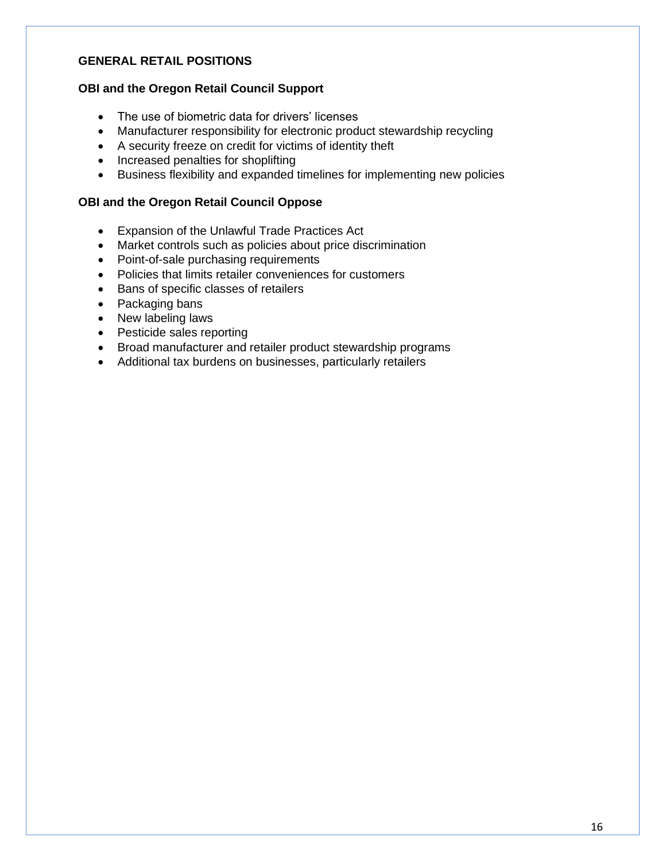# **GENERAL RETAIL POSITIONS**

#### **OBI and the Oregon Retail Council Support**

- The use of biometric data for drivers' licenses
- Manufacturer responsibility for electronic product stewardship recycling
- A security freeze on credit for victims of identity theft
- Increased penalties for shoplifting
- Business flexibility and expanded timelines for implementing new policies

#### **OBI and the Oregon Retail Council Oppose**

- Expansion of the Unlawful Trade Practices Act
- Market controls such as policies about price discrimination
- Point-of-sale purchasing requirements
- Policies that limits retailer conveniences for customers
- Bans of specific classes of retailers
- Packaging bans
- New labeling laws
- Pesticide sales reporting
- Broad manufacturer and retailer product stewardship programs
- Additional tax burdens on businesses, particularly retailers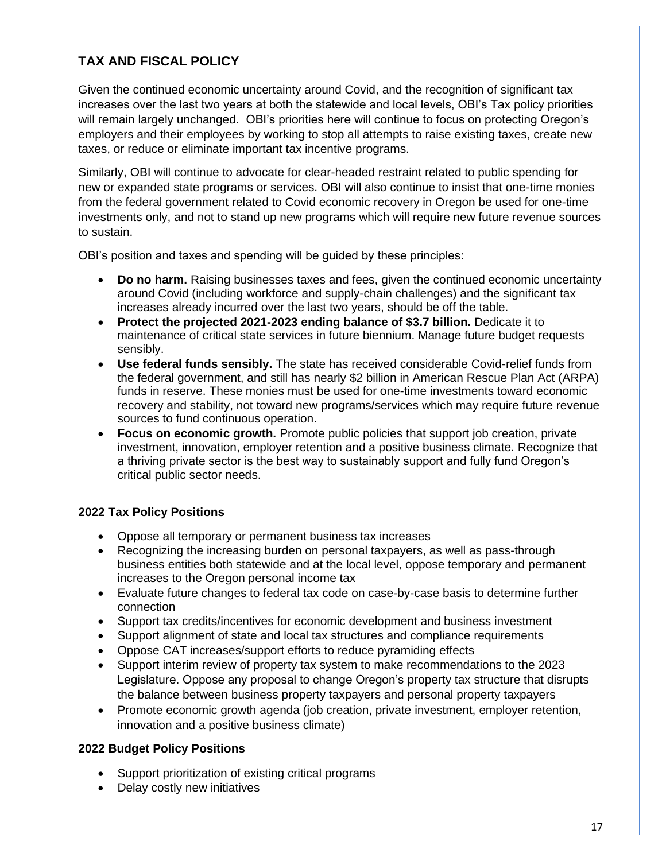# **TAX AND FISCAL POLICY**

Given the continued economic uncertainty around Covid, and the recognition of significant tax increases over the last two years at both the statewide and local levels, OBI's Tax policy priorities will remain largely unchanged. OBI's priorities here will continue to focus on protecting Oregon's employers and their employees by working to stop all attempts to raise existing taxes, create new taxes, or reduce or eliminate important tax incentive programs.

Similarly, OBI will continue to advocate for clear-headed restraint related to public spending for new or expanded state programs or services. OBI will also continue to insist that one-time monies from the federal government related to Covid economic recovery in Oregon be used for one-time investments only, and not to stand up new programs which will require new future revenue sources to sustain.

OBI's position and taxes and spending will be guided by these principles:

- **Do no harm.** Raising businesses taxes and fees, given the continued economic uncertainty around Covid (including workforce and supply-chain challenges) and the significant tax increases already incurred over the last two years, should be off the table.
- **Protect the projected 2021-2023 ending balance of \$3.7 billion.** Dedicate it to maintenance of critical state services in future biennium. Manage future budget requests sensibly.
- **Use federal funds sensibly.** The state has received considerable Covid-relief funds from the federal government, and still has nearly \$2 billion in American Rescue Plan Act (ARPA) funds in reserve. These monies must be used for one-time investments toward economic recovery and stability, not toward new programs/services which may require future revenue sources to fund continuous operation.
- **Focus on economic growth.** Promote public policies that support job creation, private investment, innovation, employer retention and a positive business climate. Recognize that a thriving private sector is the best way to sustainably support and fully fund Oregon's critical public sector needs.

# **2022 Tax Policy Positions**

- Oppose all temporary or permanent business tax increases
- Recognizing the increasing burden on personal taxpayers, as well as pass-through business entities both statewide and at the local level, oppose temporary and permanent increases to the Oregon personal income tax
- Evaluate future changes to federal tax code on case-by-case basis to determine further connection
- Support tax credits/incentives for economic development and business investment
- Support alignment of state and local tax structures and compliance requirements
- Oppose CAT increases/support efforts to reduce pyramiding effects
- Support interim review of property tax system to make recommendations to the 2023 Legislature. Oppose any proposal to change Oregon's property tax structure that disrupts the balance between business property taxpayers and personal property taxpayers
- Promote economic growth agenda (job creation, private investment, employer retention, innovation and a positive business climate)

#### **2022 Budget Policy Positions**

- Support prioritization of existing critical programs
- Delay costly new initiatives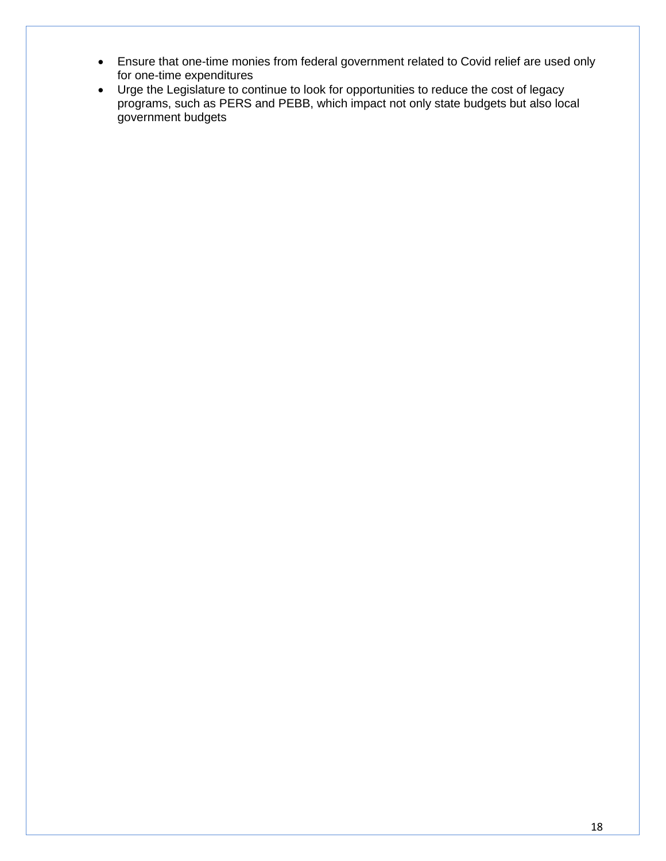- Ensure that one-time monies from federal government related to Covid relief are used only for one-time expenditures
- Urge the Legislature to continue to look for opportunities to reduce the cost of legacy programs, such as PERS and PEBB, which impact not only state budgets but also local government budgets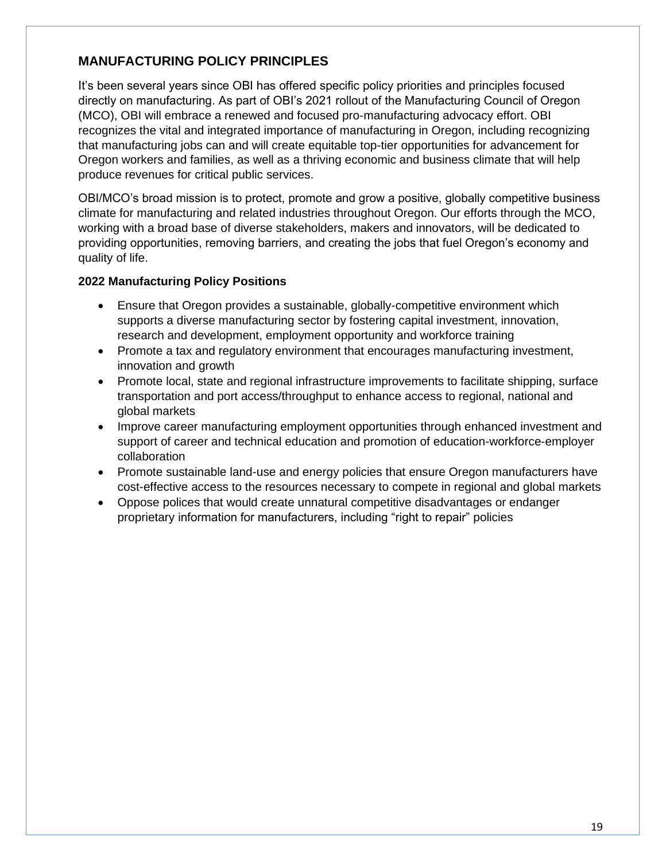# **MANUFACTURING POLICY PRINCIPLES**

It's been several years since OBI has offered specific policy priorities and principles focused directly on manufacturing. As part of OBI's 2021 rollout of the Manufacturing Council of Oregon (MCO), OBI will embrace a renewed and focused pro-manufacturing advocacy effort. OBI recognizes the vital and integrated importance of manufacturing in Oregon, including recognizing that manufacturing jobs can and will create equitable top-tier opportunities for advancement for Oregon workers and families, as well as a thriving economic and business climate that will help produce revenues for critical public services.

OBI/MCO's broad mission is to protect, promote and grow a positive, globally competitive business climate for manufacturing and related industries throughout Oregon. Our efforts through the MCO, working with a broad base of diverse stakeholders, makers and innovators, will be dedicated to providing opportunities, removing barriers, and creating the jobs that fuel Oregon's economy and quality of life.

#### **2022 Manufacturing Policy Positions**

- Ensure that Oregon provides a sustainable, globally-competitive environment which supports a diverse manufacturing sector by fostering capital investment, innovation, research and development, employment opportunity and workforce training
- Promote a tax and regulatory environment that encourages manufacturing investment, innovation and growth
- Promote local, state and regional infrastructure improvements to facilitate shipping, surface transportation and port access/throughput to enhance access to regional, national and global markets
- Improve career manufacturing employment opportunities through enhanced investment and support of career and technical education and promotion of education-workforce-employer collaboration
- Promote sustainable land-use and energy policies that ensure Oregon manufacturers have cost-effective access to the resources necessary to compete in regional and global markets
- Oppose polices that would create unnatural competitive disadvantages or endanger proprietary information for manufacturers, including "right to repair" policies